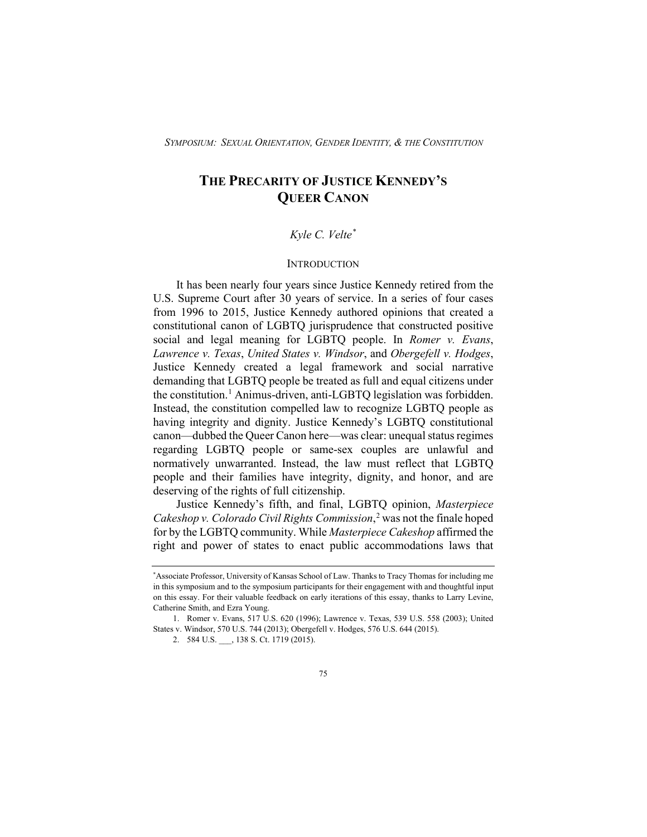# **THE PRECARITY OF JUSTICE KENNEDY'S QUEER CANON**

# *Kyle C. Velte[\\*](#page-0-0)*

# **INTRODUCTION**

It has been nearly four years since Justice Kennedy retired from the U.S. Supreme Court after 30 years of service. In a series of four cases from 1996 to 2015, Justice Kennedy authored opinions that created a constitutional canon of LGBTQ jurisprudence that constructed positive social and legal meaning for LGBTQ people. In *Romer v. Evans*, *Lawrence v. Texas*, *United States v. Windsor*, and *Obergefell v. Hodges*, Justice Kennedy created a legal framework and social narrative demanding that LGBTQ people be treated as full and equal citizens under the constitution.<sup>[1](#page-0-1)</sup> Animus-driven, anti-LGBTQ legislation was forbidden. Instead, the constitution compelled law to recognize LGBTQ people as having integrity and dignity. Justice Kennedy's LGBTQ constitutional canon—dubbed the Queer Canon here—was clear: unequal status regimes regarding LGBTQ people or same-sex couples are unlawful and normatively unwarranted. Instead, the law must reflect that LGBTQ people and their families have integrity, dignity, and honor, and are deserving of the rights of full citizenship.

Justice Kennedy's fifth, and final, LGBTQ opinion, *Masterpiece Cakeshop v. Colorado Civil Rights Commission*, [2](#page-0-2) was not the finale hoped for by the LGBTQ community. While *Masterpiece Cakeshop* affirmed the right and power of states to enact public accommodations laws that

<span id="page-0-0"></span><sup>\*</sup> Associate Professor, University of Kansas School of Law. Thanks to Tracy Thomas for including me in this symposium and to the symposium participants for their engagement with and thoughtful input on this essay. For their valuable feedback on early iterations of this essay, thanks to Larry Levine, Catherine Smith, and Ezra Young.

<span id="page-0-2"></span><span id="page-0-1"></span><sup>1.</sup> Romer v. Evans, 517 U.S. 620 (1996); Lawrence v. Texas, 539 U.S. 558 (2003); United States v. Windsor, 570 U.S. 744 (2013); Obergefell v. Hodges, 576 U.S. 644 (2015).

<sup>2.</sup> 584 U.S. \_\_\_, 138 S. Ct. 1719 (2015).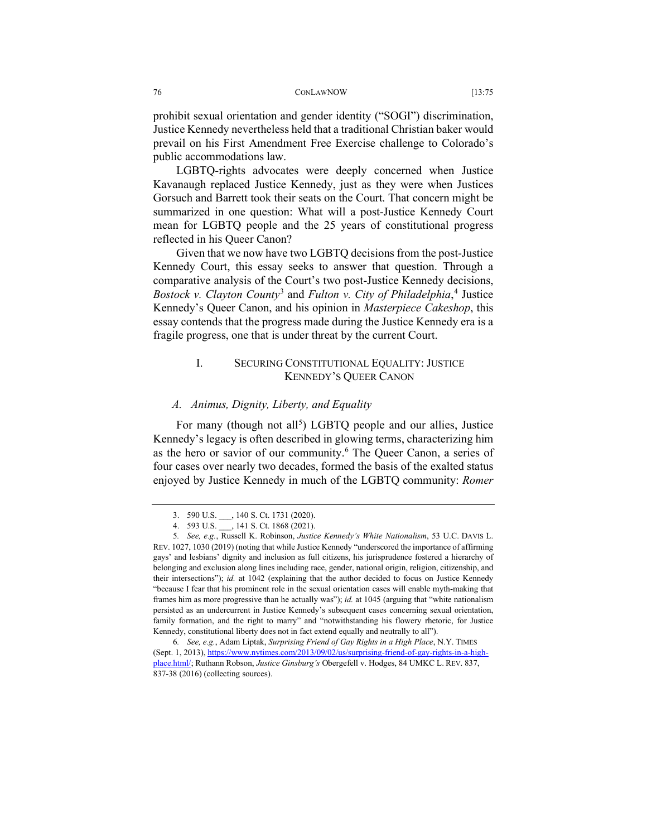### 76 CONLAWNOW [13:75

prohibit sexual orientation and gender identity ("SOGI") discrimination, Justice Kennedy nevertheless held that a traditional Christian baker would prevail on his First Amendment Free Exercise challenge to Colorado's public accommodations law.

LGBTQ-rights advocates were deeply concerned when Justice Kavanaugh replaced Justice Kennedy, just as they were when Justices Gorsuch and Barrett took their seats on the Court. That concern might be summarized in one question: What will a post-Justice Kennedy Court mean for LGBTQ people and the 25 years of constitutional progress reflected in his Queer Canon?

Given that we now have two LGBTQ decisions from the post-Justice Kennedy Court, this essay seeks to answer that question. Through a comparative analysis of the Court's two post-Justice Kennedy decisions, *Bostock v. Clayton County*[3](#page-1-0) and *Fulton v. City of Philadelphia*, [4](#page-1-1) Justice Kennedy's Queer Canon, and his opinion in *Masterpiece Cakeshop*, this essay contends that the progress made during the Justice Kennedy era is a fragile progress, one that is under threat by the current Court.

# I. SECURING CONSTITUTIONAL EQUALITY: JUSTICE KENNEDY'S QUEER CANON

### *A. Animus, Dignity, Liberty, and Equality*

For many (though not all<sup>[5](#page-1-2)</sup>) LGBTQ people and our allies, Justice Kennedy's legacy is often described in glowing terms, characterizing him as the hero or savior of our community.<sup>[6](#page-1-3)</sup> The Queer Canon, a series of four cases over nearly two decades, formed the basis of the exalted status enjoyed by Justice Kennedy in much of the LGBTQ community: *Romer* 

<sup>3.</sup> 590 U.S. \_\_\_, 140 S. Ct. 1731 (2020).

<sup>4.</sup> 593 U.S. \_\_\_, 141 S. Ct. 1868 (2021).

<span id="page-1-2"></span><span id="page-1-1"></span><span id="page-1-0"></span><sup>5</sup>*. See, e.g.*, Russell K. Robinson, *Justice Kennedy's White Nationalism*, 53 U.C. DAVIS L. REV. 1027, 1030 (2019) (noting that while Justice Kennedy "underscored the importance of affirming gays' and lesbians' dignity and inclusion as full citizens, his jurisprudence fostered a hierarchy of belonging and exclusion along lines including race, gender, national origin, religion, citizenship, and their intersections"); *id.* at 1042 (explaining that the author decided to focus on Justice Kennedy "because I fear that his prominent role in the sexual orientation cases will enable myth-making that frames him as more progressive than he actually was"); *id.* at 1045 (arguing that "white nationalism persisted as an undercurrent in Justice Kennedy's subsequent cases concerning sexual orientation, family formation, and the right to marry" and "notwithstanding his flowery rhetoric, for Justice Kennedy, constitutional liberty does not in fact extend equally and neutrally to all").

<span id="page-1-3"></span><sup>6</sup>*. See, e.g.*, Adam Liptak, *Surprising Friend of Gay Rights in a High Place*, N.Y. TIMES (Sept. 1, 2013), [https://www.nytimes.com/2013/09/02/us/surprising-friend-of-gay-rights-in-a-high](https://www.nytimes.com/2013/09/02/us/surprising-friend-of-gay-rights-in-a-high-place.html/)[place.html/;](https://www.nytimes.com/2013/09/02/us/surprising-friend-of-gay-rights-in-a-high-place.html/) Ruthann Robson, *Justice Ginsburg's* Obergefell v. Hodges, 84 UMKC L. REV. 837, 837-38 (2016) (collecting sources).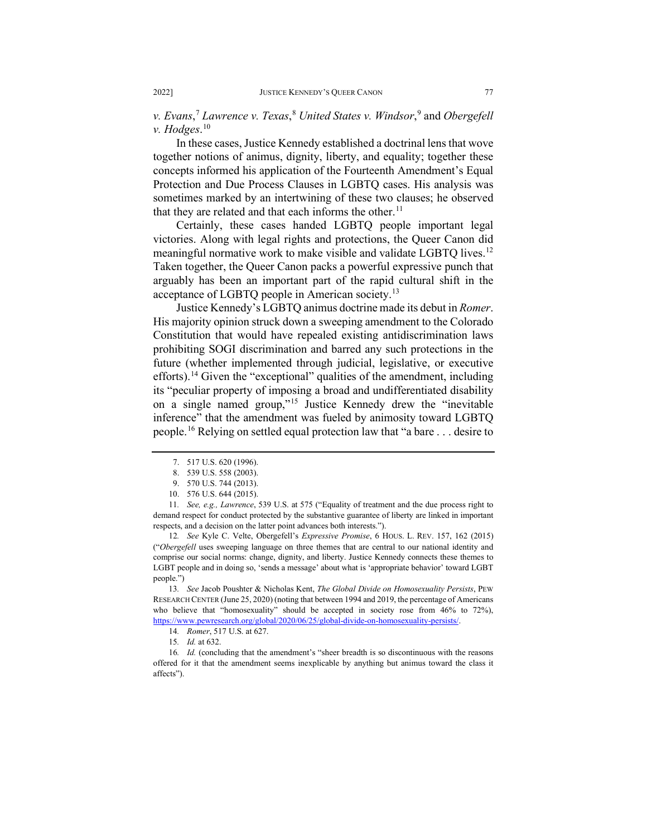*v. Evans*, [7](#page-2-0) *Lawrence v. Texas*, [8](#page-2-1) *United States v. Windsor*, [9](#page-2-2) and *Obergefell v. Hodges*. [10](#page-2-3)

In these cases, Justice Kennedy established a doctrinal lens that wove together notions of animus, dignity, liberty, and equality; together these concepts informed his application of the Fourteenth Amendment's Equal Protection and Due Process Clauses in LGBTQ cases. His analysis was sometimes marked by an intertwining of these two clauses; he observed that they are related and that each informs the other.<sup>[11](#page-2-4)</sup>

Certainly, these cases handed LGBTQ people important legal victories. Along with legal rights and protections, the Queer Canon did meaningful normative work to make visible and validate LGBTQ lives.<sup>[12](#page-2-5)</sup> Taken together, the Queer Canon packs a powerful expressive punch that arguably has been an important part of the rapid cultural shift in the acceptance of LGBTQ people in American society.<sup>[13](#page-2-6)</sup>

Justice Kennedy's LGBTQ animus doctrine made its debut in *Romer*. His majority opinion struck down a sweeping amendment to the Colorado Constitution that would have repealed existing antidiscrimination laws prohibiting SOGI discrimination and barred any such protections in the future (whether implemented through judicial, legislative, or executive efforts).<sup>[14](#page-2-7)</sup> Given the "exceptional" qualities of the amendment, including its "peculiar property of imposing a broad and undifferentiated disability on a single named group,"[15](#page-2-8) Justice Kennedy drew the "inevitable inference" that the amendment was fueled by animosity toward LGBTQ people.[16](#page-2-9) Relying on settled equal protection law that "a bare . . . desire to

<span id="page-2-4"></span><span id="page-2-3"></span><span id="page-2-2"></span><span id="page-2-1"></span><span id="page-2-0"></span>11*. See, e.g., Lawrence*, 539 U.S. at 575 ("Equality of treatment and the due process right to demand respect for conduct protected by the substantive guarantee of liberty are linked in important respects, and a decision on the latter point advances both interests.").

<span id="page-2-5"></span>12*. See* Kyle C. Velte, Obergefell's *Expressive Promise*, 6 HOUS. L. REV. 157, 162 (2015) ("*Obergefell* uses sweeping language on three themes that are central to our national identity and comprise our social norms: change, dignity, and liberty. Justice Kennedy connects these themes to LGBT people and in doing so, 'sends a message' about what is 'appropriate behavior' toward LGBT people.")

<span id="page-2-6"></span>13*. See* Jacob Poushter & Nicholas Kent, *The Global Divide on Homosexuality Persists*, PEW RESEARCH CENTER (June 25, 2020) (noting that between 1994 and 2019, the percentage of Americans who believe that "homosexuality" should be accepted in society rose from 46% to 72%), [https://www.pewresearch.org/global/2020/06/25/global-divide-on-homosexuality-persists/.](https://www.pewresearch.org/global/2020/06/25/global-divide-on-homosexuality-persists/) 

14*. Romer*, 517 U.S. at 627.

<span id="page-2-9"></span><span id="page-2-8"></span><span id="page-2-7"></span>16*. Id.* (concluding that the amendment's "sheer breadth is so discontinuous with the reasons offered for it that the amendment seems inexplicable by anything but animus toward the class it affects").

<sup>7.</sup> 517 U.S. 620 (1996).

<sup>8.</sup> 539 U.S. 558 (2003).

<sup>9.</sup> 570 U.S. 744 (2013).

<sup>10.</sup> 576 U.S. 644 (2015).

<sup>15</sup>*. Id.* at 632.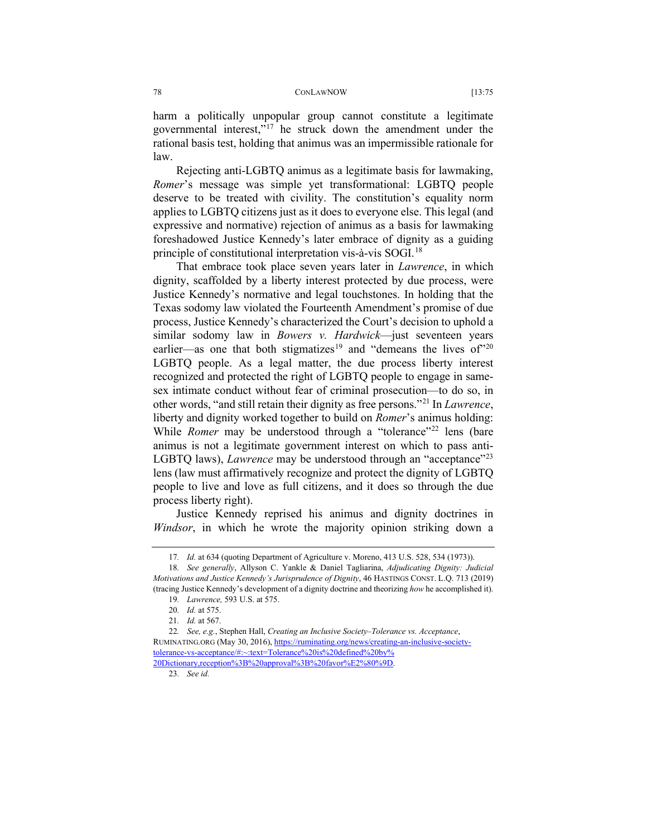Rejecting anti-LGBTQ animus as a legitimate basis for lawmaking, *Romer*'s message was simple yet transformational: LGBTQ people deserve to be treated with civility. The constitution's equality norm applies to LGBTQ citizens just as it does to everyone else. This legal (and expressive and normative) rejection of animus as a basis for lawmaking foreshadowed Justice Kennedy's later embrace of dignity as a guiding principle of constitutional interpretation vis-à-vis SOGI.[18](#page-3-1)

That embrace took place seven years later in *Lawrence*, in which dignity, scaffolded by a liberty interest protected by due process, were Justice Kennedy's normative and legal touchstones. In holding that the Texas sodomy law violated the Fourteenth Amendment's promise of due process, Justice Kennedy's characterized the Court's decision to uphold a similar sodomy law in *Bowers v. Hardwick*—just seventeen years earlier—as one that both stigmatizes<sup>[19](#page-3-2)</sup> and "demeans the lives of"<sup>[20](#page-3-3)</sup> LGBTQ people. As a legal matter, the due process liberty interest recognized and protected the right of LGBTQ people to engage in samesex intimate conduct without fear of criminal prosecution—to do so, in other words, "and still retain their dignity as free persons."[21](#page-3-4) In *Lawrence*, liberty and dignity worked together to build on *Romer*'s animus holding: While *Romer* may be understood through a "tolerance"<sup>22</sup> lens (bare animus is not a legitimate government interest on which to pass anti-LGBTQ laws), *Lawrence* may be understood through an "acceptance"<sup>[23](#page-3-6)</sup> lens (law must affirmatively recognize and protect the dignity of LGBTQ people to live and love as full citizens, and it does so through the due process liberty right).

Justice Kennedy reprised his animus and dignity doctrines in *Windsor*, in which he wrote the majority opinion striking down a

law.

<sup>17</sup>*. Id.* at 634 (quoting Department of Agriculture v. Moreno, 413 U.S. 528, 534 (1973)).

<span id="page-3-2"></span><span id="page-3-1"></span><span id="page-3-0"></span><sup>18</sup>*. See generally*, Allyson C. Yankle & Daniel Tagliarina, *Adjudicating Dignity: Judicial Motivations and Justice Kennedy's Jurisprudence of Dignity*, 46 HASTINGS CONST. L.Q. 713 (2019) (tracing Justice Kennedy's development of a dignity doctrine and theorizing *how* he accomplished it).

<sup>19</sup>*. Lawrence,* 593 U.S. at 575.

<sup>20</sup>*. Id.* at 575.

<sup>21</sup>*. Id.* at 567.

<span id="page-3-5"></span><span id="page-3-4"></span><span id="page-3-3"></span><sup>22</sup>*. See, e.g.*, Stephen Hall, *Creating an Inclusive Society–Tolerance vs. Acceptance*, RUMINATING.ORG (May 30, 2016)[, https://ruminating.org/news/creating-an-inclusive-society](https://ruminating.org/news/creating-an-inclusive-society-tolerance-vs-acceptance/#:%7E:text=Tolerance%20is%20defined%20by%25%2020Dictionary,reception%3B%20approval%3B%20favor%E2%80%9D)[tolerance-vs-acceptance/#:~:text=Tolerance%20is%20defined%20by%](https://ruminating.org/news/creating-an-inclusive-society-tolerance-vs-acceptance/#:%7E:text=Tolerance%20is%20defined%20by%25%2020Dictionary,reception%3B%20approval%3B%20favor%E2%80%9D) 

<span id="page-3-6"></span>[<sup>20</sup>Dictionary,reception%3B%20approval%3B%20favor%E2%80%9D.](https://ruminating.org/news/creating-an-inclusive-society-tolerance-vs-acceptance/#:%7E:text=Tolerance%20is%20defined%20by%25%2020Dictionary,reception%3B%20approval%3B%20favor%E2%80%9D)  23*. See id.*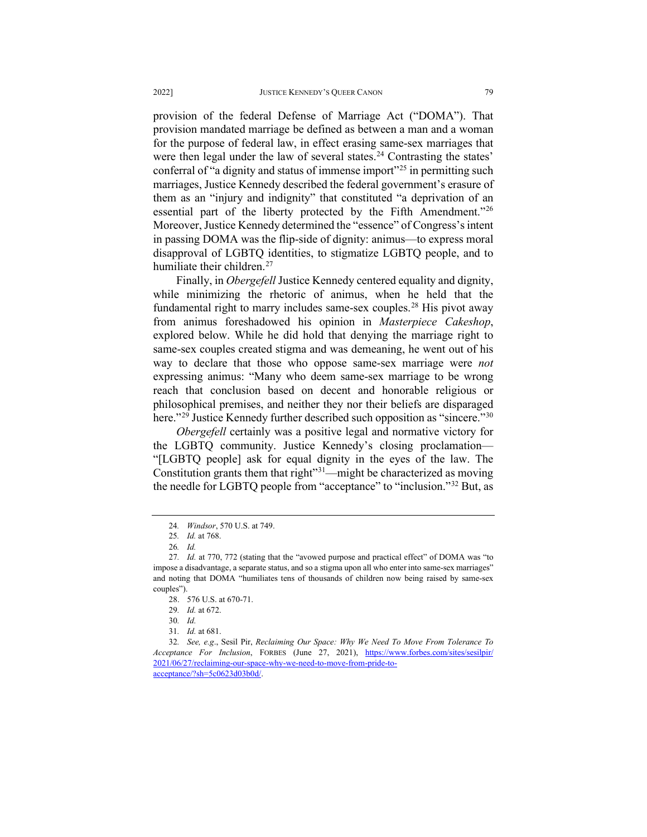provision of the federal Defense of Marriage Act ("DOMA"). That provision mandated marriage be defined as between a man and a woman for the purpose of federal law, in effect erasing same-sex marriages that were then legal under the law of several states.<sup>[24](#page-4-0)</sup> Contrasting the states' conferral of "a dignity and status of immense import"<sup>[25](#page-4-1)</sup> in permitting such marriages, Justice Kennedy described the federal government's erasure of them as an "injury and indignity" that constituted "a deprivation of an essential part of the liberty protected by the Fifth Amendment.<sup>"[26](#page-4-2)</sup> Moreover, Justice Kennedy determined the "essence" of Congress's intent in passing DOMA was the flip-side of dignity: animus—to express moral disapproval of LGBTQ identities, to stigmatize LGBTQ people, and to humiliate their children.<sup>[27](#page-4-3)</sup>

Finally, in *Obergefell* Justice Kennedy centered equality and dignity, while minimizing the rhetoric of animus, when he held that the fundamental right to marry includes same-sex couples.<sup>[28](#page-4-4)</sup> His pivot away from animus foreshadowed his opinion in *Masterpiece Cakeshop*, explored below. While he did hold that denying the marriage right to same-sex couples created stigma and was demeaning, he went out of his way to declare that those who oppose same-sex marriage were *not* expressing animus: "Many who deem same-sex marriage to be wrong reach that conclusion based on decent and honorable religious or philosophical premises, and neither they nor their beliefs are disparaged here."<sup>[29](#page-4-5)</sup> Justice Kennedy further described such opposition as "sincere."<sup>[30](#page-4-6)</sup>

*Obergefell* certainly was a positive legal and normative victory for the LGBTQ community. Justice Kennedy's closing proclamation— "[LGBTQ people] ask for equal dignity in the eyes of the law. The Constitution grants them that right"[31](#page-4-7)—might be characterized as moving the needle for LGBTQ people from "acceptance" to "inclusion."[32](#page-4-8) But, as

<sup>24</sup>*. Windsor*, 570 U.S. at 749.

<sup>25</sup>*. Id.* at 768.

<sup>26</sup>*. Id.*

<span id="page-4-4"></span><span id="page-4-3"></span><span id="page-4-2"></span><span id="page-4-1"></span><span id="page-4-0"></span><sup>27</sup>*. Id.* at 770, 772 (stating that the "avowed purpose and practical effect" of DOMA was "to impose a disadvantage, a separate status, and so a stigma upon all who enter into same-sex marriages" and noting that DOMA "humiliates tens of thousands of children now being raised by same-sex couples").

<sup>28.</sup> 576 U.S. at 670-71.

<sup>29</sup>*. Id.* at 672.

<sup>30</sup>*. Id.*

<sup>31</sup>*. Id.* at 681.

<span id="page-4-8"></span><span id="page-4-7"></span><span id="page-4-6"></span><span id="page-4-5"></span><sup>32</sup>*. See, e.g*., Sesil Pir, *Reclaiming Our Space: Why We Need To Move From Tolerance To Acceptance For Inclusion*, FORBES (June 27, 2021), [https://www.forbes.com/sites/sesilpir/](https://www.forbes.com/sites/sesilpir/%E2%80%8C2021/06/27/reclaiming-our-space-why-we-need-to-move-from-pride-to-acceptance/?sh=5c0623d03b0d/) [2021/06/27/reclaiming-our-space-why-we-need-to-move-from-pride-to](https://www.forbes.com/sites/sesilpir/%E2%80%8C2021/06/27/reclaiming-our-space-why-we-need-to-move-from-pride-to-acceptance/?sh=5c0623d03b0d/)[acceptance/?sh=5c0623d03b0d/.](https://www.forbes.com/sites/sesilpir/%E2%80%8C2021/06/27/reclaiming-our-space-why-we-need-to-move-from-pride-to-acceptance/?sh=5c0623d03b0d/)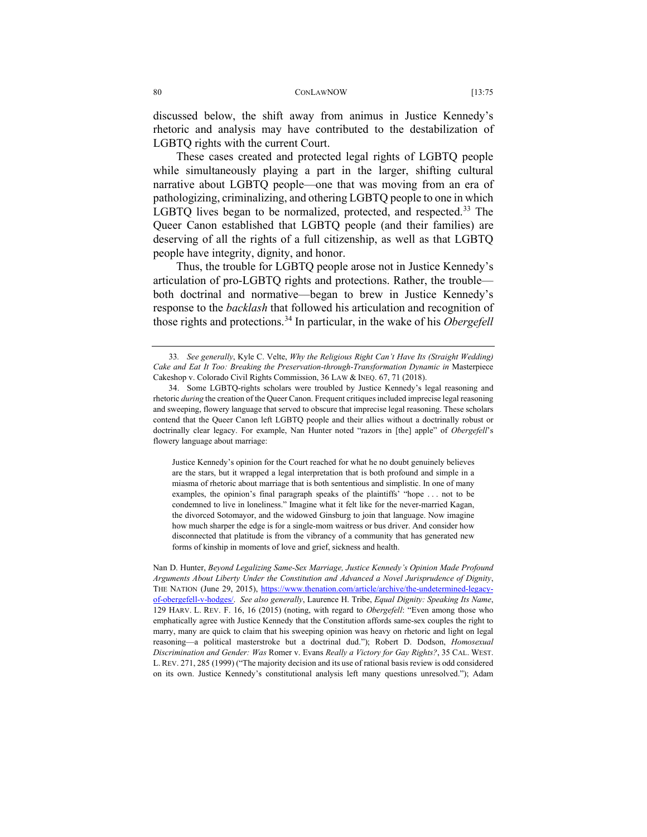discussed below, the shift away from animus in Justice Kennedy's rhetoric and analysis may have contributed to the destabilization of LGBTQ rights with the current Court.

These cases created and protected legal rights of LGBTQ people while simultaneously playing a part in the larger, shifting cultural narrative about LGBTQ people—one that was moving from an era of pathologizing, criminalizing, and othering LGBTQ people to one in which LGBTQ lives began to be normalized, protected, and respected.<sup>[33](#page-5-0)</sup> The Queer Canon established that LGBTQ people (and their families) are deserving of all the rights of a full citizenship, as well as that LGBTQ people have integrity, dignity, and honor.

Thus, the trouble for LGBTQ people arose not in Justice Kennedy's articulation of pro-LGBTQ rights and protections. Rather, the trouble both doctrinal and normative—began to brew in Justice Kennedy's response to the *backlash* that followed his articulation and recognition of those rights and protections.[34](#page-5-1) In particular, in the wake of his *Obergefell* 

Justice Kennedy's opinion for the Court reached for what he no doubt genuinely believes are the stars, but it wrapped a legal interpretation that is both profound and simple in a miasma of rhetoric about marriage that is both sententious and simplistic. In one of many examples, the opinion's final paragraph speaks of the plaintiffs' "hope . . . not to be condemned to live in loneliness." Imagine what it felt like for the never-married Kagan, the divorced Sotomayor, and the widowed Ginsburg to join that language. Now imagine how much sharper the edge is for a single-mom waitress or bus driver. And consider how disconnected that platitude is from the vibrancy of a community that has generated new forms of kinship in moments of love and grief, sickness and health.

Nan D. Hunter, *Beyond Legalizing Same-Sex Marriage, Justice Kennedy's Opinion Made Profound Arguments About Liberty Under the Constitution and Advanced a Novel Jurisprudence of Dignity*, THE NATION (June 29, 2015), [https://www.thenation.com/article/archive/the-undetermined-legacy](https://www.thenation.com/article/archive/the-undetermined-legacy-of-obergefell-v-hodges/)[of-obergefell-v-hodges/.](https://www.thenation.com/article/archive/the-undetermined-legacy-of-obergefell-v-hodges/) *See also generally*, Laurence H. Tribe, *Equal Dignity: Speaking Its Name*, 129 HARV. L. REV. F. 16, 16 (2015) (noting, with regard to *Obergefell*: "Even among those who emphatically agree with Justice Kennedy that the Constitution affords same-sex couples the right to marry, many are quick to claim that his sweeping opinion was heavy on rhetoric and light on legal reasoning—a political masterstroke but a doctrinal dud."); Robert D. Dodson, *Homosexual Discrimination and Gender: Was* Romer v. Evans *Really a Victory for Gay Rights?*, 35 CAL. WEST. L. REV. 271, 285 (1999) ("The majority decision and its use of rational basis review is odd considered on its own. Justice Kennedy's constitutional analysis left many questions unresolved."); Adam

<span id="page-5-0"></span><sup>33</sup>*. See generally*, Kyle C. Velte, *Why the Religious Right Can't Have Its (Straight Wedding) Cake and Eat It Too: Breaking the Preservation-through-Transformation Dynamic in Masterpiece* Cakeshop v. Colorado Civil Rights Commission, 36 LAW & INEQ. 67, 71 (2018).

<span id="page-5-1"></span><sup>34.</sup> Some LGBTQ-rights scholars were troubled by Justice Kennedy's legal reasoning and rhetoric *during* the creation of the Queer Canon. Frequent critiques included imprecise legal reasoning and sweeping, flowery language that served to obscure that imprecise legal reasoning. These scholars contend that the Queer Canon left LGBTQ people and their allies without a doctrinally robust or doctrinally clear legacy. For example, Nan Hunter noted "razors in [the] apple" of *Obergefell*'s flowery language about marriage: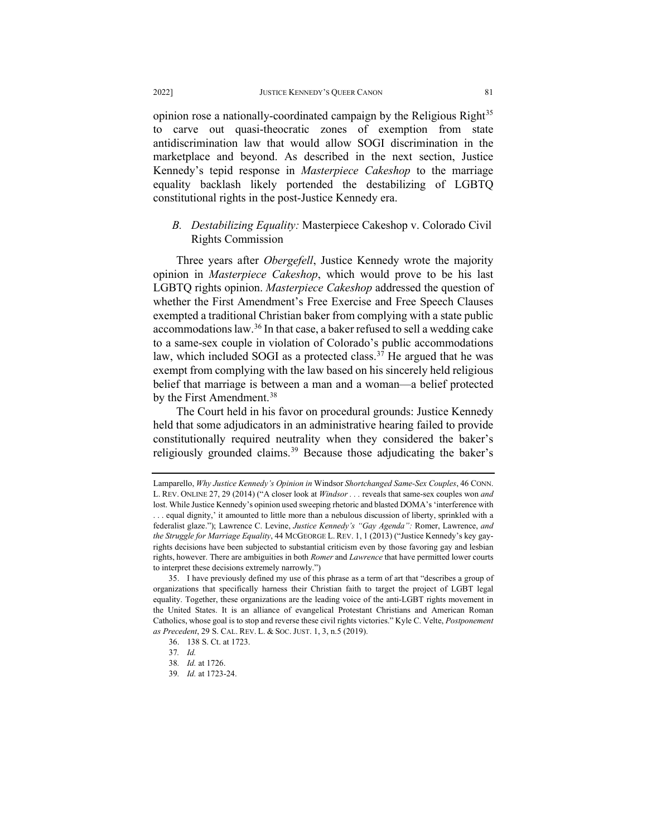opinion rose a nationally-coordinated campaign by the Religious Right<sup>[35](#page-6-0)</sup> to carve out quasi-theocratic zones of exemption from state antidiscrimination law that would allow SOGI discrimination in the marketplace and beyond. As described in the next section, Justice Kennedy's tepid response in *Masterpiece Cakeshop* to the marriage equality backlash likely portended the destabilizing of LGBTQ constitutional rights in the post-Justice Kennedy era.

# *B. Destabilizing Equality:* Masterpiece Cakeshop v. Colorado Civil Rights Commission

Three years after *Obergefell*, Justice Kennedy wrote the majority opinion in *Masterpiece Cakeshop*, which would prove to be his last LGBTQ rights opinion. *Masterpiece Cakeshop* addressed the question of whether the First Amendment's Free Exercise and Free Speech Clauses exempted a traditional Christian baker from complying with a state public accommodations law.[36](#page-6-1) In that case, a baker refused to sell a wedding cake to a same-sex couple in violation of Colorado's public accommodations law, which included SOGI as a protected class.<sup>[37](#page-6-2)</sup> He argued that he was exempt from complying with the law based on his sincerely held religious belief that marriage is between a man and a woman—a belief protected by the First Amendment.<sup>38</sup>

The Court held in his favor on procedural grounds: Justice Kennedy held that some adjudicators in an administrative hearing failed to provide constitutionally required neutrality when they considered the baker's religiously grounded claims.<sup>39</sup> Because those adjudicating the baker's

Lamparello, *Why Justice Kennedy's Opinion in* Windsor *Shortchanged Same-Sex Couples*, 46 CONN. L. REV. ONLINE 27, 29 (2014) ("A closer look at *Windsor . . .* reveals that same-sex couples won *and* lost. While Justice Kennedy's opinion used sweeping rhetoric and blasted DOMA's 'interference with . . . equal dignity,' it amounted to little more than a nebulous discussion of liberty, sprinkled with a federalist glaze."); Lawrence C. Levine, *Justice Kennedy's "Gay Agenda":* Romer, Lawrence, *and the Struggle for Marriage Equality*, 44 MCGEORGE L. REV. 1, 1 (2013) ("Justice Kennedy's key gayrights decisions have been subjected to substantial criticism even by those favoring gay and lesbian rights, however. There are ambiguities in both *Romer* and *Lawrence* that have permitted lower courts to interpret these decisions extremely narrowly.")

<span id="page-6-1"></span><span id="page-6-0"></span><sup>35.</sup> I have previously defined my use of this phrase as a term of art that "describes a group of organizations that specifically harness their Christian faith to target the project of LGBT legal equality. Together, these organizations are the leading voice of the anti-LGBT rights movement in the United States. It is an alliance of evangelical Protestant Christians and American Roman Catholics, whose goal is to stop and reverse these civil rights victories." Kyle C. Velte, *Postponement as Precedent*, 29 S. CAL. REV. L. & SOC. JUST. 1, 3, n.5 (2019).

<span id="page-6-2"></span><sup>36.</sup> 138 S. Ct. at 1723.

<sup>37</sup>*. Id.*

<span id="page-6-3"></span><sup>38</sup>*. Id.* at 1726.

<span id="page-6-4"></span><sup>39</sup>*. Id.* at 1723-24.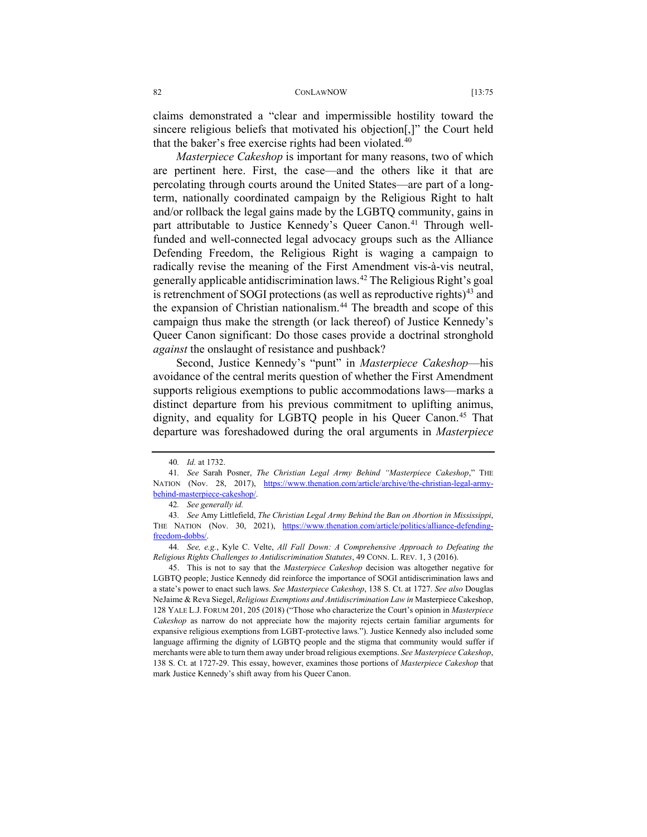claims demonstrated a "clear and impermissible hostility toward the sincere religious beliefs that motivated his objection[,]" the Court held that the baker's free exercise rights had been violated. $40$ 

*Masterpiece Cakeshop* is important for many reasons, two of which are pertinent here. First, the case—and the others like it that are percolating through courts around the United States—are part of a longterm, nationally coordinated campaign by the Religious Right to halt and/or rollback the legal gains made by the LGBTQ community, gains in part attributable to Justice Kennedy's Queer Canon.<sup>[41](#page-7-1)</sup> Through wellfunded and well-connected legal advocacy groups such as the Alliance Defending Freedom, the Religious Right is waging a campaign to radically revise the meaning of the First Amendment vis-à-vis neutral, generally applicable antidiscrimination laws.[42](#page-7-2) The Religious Right's goal is retrenchment of SOGI protections (as well as reproductive rights) $43$  and the expansion of Christian nationalism.<sup>[44](#page-7-4)</sup> The breadth and scope of this campaign thus make the strength (or lack thereof) of Justice Kennedy's Queer Canon significant: Do those cases provide a doctrinal stronghold *against* the onslaught of resistance and pushback?

Second, Justice Kennedy's "punt" in *Masterpiece Cakeshop*—his avoidance of the central merits question of whether the First Amendment supports religious exemptions to public accommodations laws—marks a distinct departure from his previous commitment to uplifting animus, dignity, and equality for LGBTQ people in his Queer Canon.<sup>[45](#page-7-5)</sup> That departure was foreshadowed during the oral arguments in *Masterpiece* 

<span id="page-7-5"></span>45. This is not to say that the *Masterpiece Cakeshop* decision was altogether negative for LGBTQ people; Justice Kennedy did reinforce the importance of SOGI antidiscrimination laws and a state's power to enact such laws. *See Masterpiece Cakeshop*, 138 S. Ct. at 1727. *See also* Douglas NeJaime & Reva Siegel, *Religious Exemptions and Antidiscrimination Law in* Masterpiece Cakeshop, 128 YALE L.J. FORUM 201, 205 (2018) ("Those who characterize the Court's opinion in *Masterpiece Cakeshop* as narrow do not appreciate how the majority rejects certain familiar arguments for expansive religious exemptions from LGBT-protective laws."). Justice Kennedy also included some language affirming the dignity of LGBTQ people and the stigma that community would suffer if merchants were able to turn them away under broad religious exemptions. *See Masterpiece Cakeshop*, 138 S. Ct. at 1727-29. This essay, however, examines those portions of *Masterpiece Cakeshop* that mark Justice Kennedy's shift away from his Queer Canon.

<sup>40</sup>*. Id.* at 1732.

<span id="page-7-1"></span><span id="page-7-0"></span><sup>41</sup>*. See* Sarah Posner, *The Christian Legal Army Behind "Masterpiece Cakeshop*," THE NATION (Nov. 28, 2017), [https://www.thenation.com/article/archive/the-christian-legal-army](https://www.thenation.com/article/archive/the-christian-legal-army-behind-masterpiece-cakeshop/)[behind-masterpiece-cakeshop/.](https://www.thenation.com/article/archive/the-christian-legal-army-behind-masterpiece-cakeshop/) 

<sup>42</sup>*. See generally id.*

<span id="page-7-3"></span><span id="page-7-2"></span><sup>43</sup>*. See* Amy Littlefield, *The Christian Legal Army Behind the Ban on Abortion in Mississippi*, THE NATION (Nov. 30, 2021), [https://www.thenation.com/article/politics/alliance-defending](https://www.thenation.com/article/politics/alliance-defending-freedom-dobbs/)[freedom-dobbs/.](https://www.thenation.com/article/politics/alliance-defending-freedom-dobbs/) 

<span id="page-7-4"></span><sup>44</sup>*. See, e.g.*, Kyle C. Velte, *All Fall Down: A Comprehensive Approach to Defeating the Religious Rights Challenges to Antidiscrimination Statutes*, 49 CONN. L. REV. 1, 3 (2016).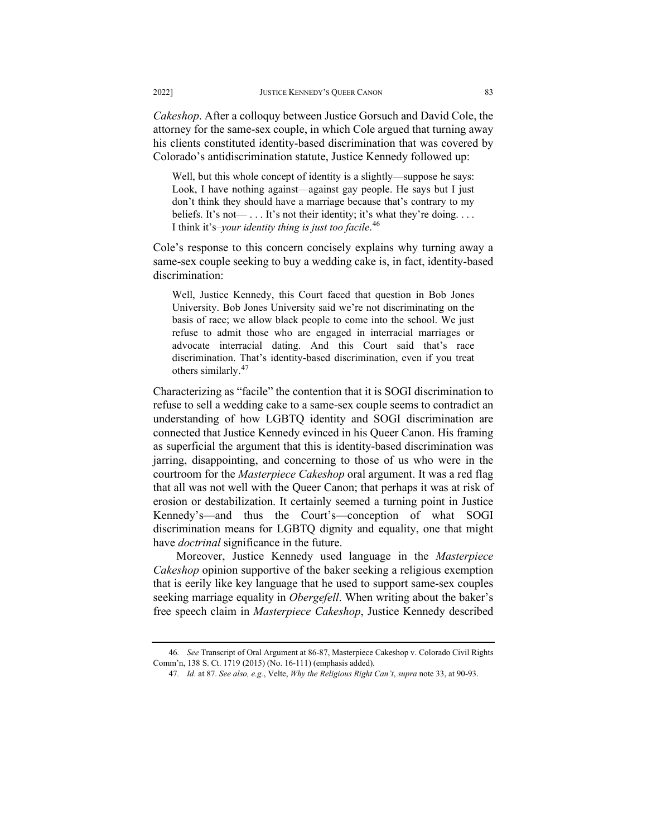*Cakeshop*. After a colloquy between Justice Gorsuch and David Cole, the attorney for the same-sex couple, in which Cole argued that turning away his clients constituted identity-based discrimination that was covered by Colorado's antidiscrimination statute, Justice Kennedy followed up:

Well, but this whole concept of identity is a slightly—suppose he says: Look, I have nothing against—against gay people. He says but I just don't think they should have a marriage because that's contrary to my beliefs. It's not— $\ldots$  It's not their identity; it's what they're doing.  $\ldots$ I think it's–*your identity thing is just too facile*. [46](#page-8-0)

Cole's response to this concern concisely explains why turning away a same-sex couple seeking to buy a wedding cake is, in fact, identity-based discrimination:

Well, Justice Kennedy, this Court faced that question in Bob Jones University. Bob Jones University said we're not discriminating on the basis of race; we allow black people to come into the school. We just refuse to admit those who are engaged in interracial marriages or advocate interracial dating. And this Court said that's race discrimination. That's identity-based discrimination, even if you treat others similarly.[47](#page-8-1)

Characterizing as "facile" the contention that it is SOGI discrimination to refuse to sell a wedding cake to a same-sex couple seems to contradict an understanding of how LGBTQ identity and SOGI discrimination are connected that Justice Kennedy evinced in his Queer Canon. His framing as superficial the argument that this is identity-based discrimination was jarring, disappointing, and concerning to those of us who were in the courtroom for the *Masterpiece Cakeshop* oral argument. It was a red flag that all was not well with the Queer Canon; that perhaps it was at risk of erosion or destabilization. It certainly seemed a turning point in Justice Kennedy's—and thus the Court's—conception of what SOGI discrimination means for LGBTQ dignity and equality, one that might have *doctrinal* significance in the future.

Moreover, Justice Kennedy used language in the *Masterpiece Cakeshop* opinion supportive of the baker seeking a religious exemption that is eerily like key language that he used to support same-sex couples seeking marriage equality in *Obergefell*. When writing about the baker's free speech claim in *Masterpiece Cakeshop*, Justice Kennedy described

<span id="page-8-1"></span><span id="page-8-0"></span><sup>46</sup>*. See* Transcript of Oral Argument at 86-87, Masterpiece Cakeshop v. Colorado Civil Rights Comm'n, 138 S. Ct. 1719 (2015) (No. 16-111) (emphasis added).

<sup>47</sup>*. Id.* at 87. *See also, e.g.*, Velte, *Why the Religious Right Can't*, *supra* note 33, at 90-93.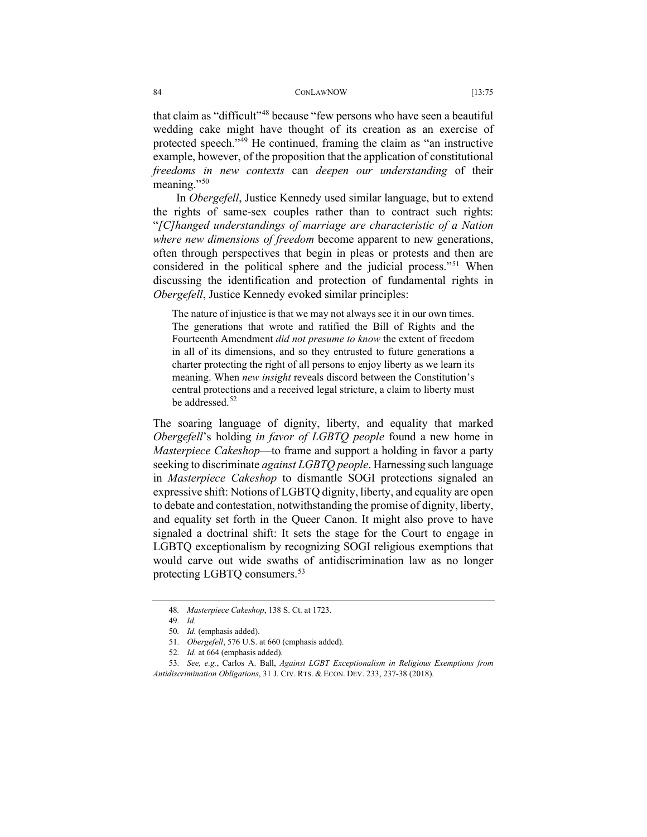### 84 CONLAWNOW [13:75]

that claim as "difficult"<sup>[48](#page-9-0)</sup> because "few persons who have seen a beautiful wedding cake might have thought of its creation as an exercise of protected speech."[49](#page-9-1) He continued, framing the claim as "an instructive example, however, of the proposition that the application of constitutional *freedoms in new contexts* can *deepen our understanding* of their meaning."<sup>[50](#page-9-2)</sup>

In *Obergefell*, Justice Kennedy used similar language, but to extend the rights of same-sex couples rather than to contract such rights: "*[C]hanged understandings of marriage are characteristic of a Nation where new dimensions of freedom* become apparent to new generations, often through perspectives that begin in pleas or protests and then are considered in the political sphere and the judicial process."[51](#page-9-3) When discussing the identification and protection of fundamental rights in *Obergefell*, Justice Kennedy evoked similar principles:

The nature of injustice is that we may not always see it in our own times. The generations that wrote and ratified the Bill of Rights and the Fourteenth Amendment *did not presume to know* the extent of freedom in all of its dimensions, and so they entrusted to future generations a charter protecting the right of all persons to enjoy liberty as we learn its meaning. When *new insight* reveals discord between the Constitution's central protections and a received legal stricture, a claim to liberty must be addressed.<sup>[52](#page-9-4)</sup>

The soaring language of dignity, liberty, and equality that marked *Obergefell*'s holding *in favor of LGBTQ people* found a new home in *Masterpiece Cakeshop*—to frame and support a holding in favor a party seeking to discriminate *against LGBTQ people*. Harnessing such language in *Masterpiece Cakeshop* to dismantle SOGI protections signaled an expressive shift: Notions of LGBTQ dignity, liberty, and equality are open to debate and contestation, notwithstanding the promise of dignity, liberty, and equality set forth in the Queer Canon. It might also prove to have signaled a doctrinal shift: It sets the stage for the Court to engage in LGBTQ exceptionalism by recognizing SOGI religious exemptions that would carve out wide swaths of antidiscrimination law as no longer protecting LGBTQ consumers.<sup>[53](#page-9-5)</sup>

<sup>48</sup>*. Masterpiece Cakeshop*, 138 S. Ct. at 1723.

<sup>49</sup>*. Id.*

<sup>50</sup>*. Id.* (emphasis added).

<sup>51</sup>*. Obergefell*, 576 U.S. at 660 (emphasis added).

<sup>52</sup>*. Id.* at 664 (emphasis added).

<span id="page-9-5"></span><span id="page-9-4"></span><span id="page-9-3"></span><span id="page-9-2"></span><span id="page-9-1"></span><span id="page-9-0"></span><sup>53</sup>*. See, e.g.*, Carlos A. Ball, *Against LGBT Exceptionalism in Religious Exemptions from Antidiscrimination Obligations*, 31 J. CIV. RTS. & ECON. DEV. 233, 237-38 (2018).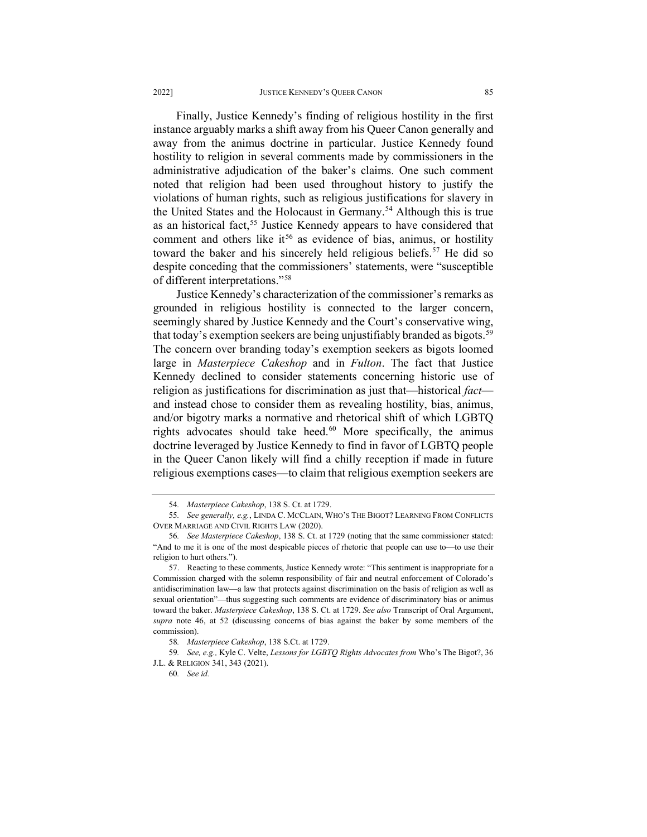Finally, Justice Kennedy's finding of religious hostility in the first instance arguably marks a shift away from his Queer Canon generally and away from the animus doctrine in particular. Justice Kennedy found hostility to religion in several comments made by commissioners in the administrative adjudication of the baker's claims. One such comment noted that religion had been used throughout history to justify the violations of human rights, such as religious justifications for slavery in the United States and the Holocaust in Germany.<sup>[54](#page-10-0)</sup> Although this is true as an historical fact,<sup>[55](#page-10-1)</sup> Justice Kennedy appears to have considered that comment and others like it<sup>[56](#page-10-2)</sup> as evidence of bias, animus, or hostility toward the baker and his sincerely held religious beliefs.<sup>[57](#page-10-3)</sup> He did so despite conceding that the commissioners' statements, were "susceptible of different interpretations."[58](#page-10-4)

Justice Kennedy's characterization of the commissioner's remarks as grounded in religious hostility is connected to the larger concern, seemingly shared by Justice Kennedy and the Court's conservative wing, that today's exemption seekers are being unjustifiably branded as bigots.<sup>[59](#page-10-5)</sup> The concern over branding today's exemption seekers as bigots loomed large in *Masterpiece Cakeshop* and in *Fulton*. The fact that Justice Kennedy declined to consider statements concerning historic use of religion as justifications for discrimination as just that—historical *fact* and instead chose to consider them as revealing hostility, bias, animus, and/or bigotry marks a normative and rhetorical shift of which LGBTQ rights advocates should take heed. $60$  More specifically, the animus doctrine leveraged by Justice Kennedy to find in favor of LGBTQ people in the Queer Canon likely will find a chilly reception if made in future religious exemptions cases—to claim that religious exemption seekers are

<sup>54</sup>*. Masterpiece Cakeshop*, 138 S. Ct. at 1729.

<span id="page-10-1"></span><span id="page-10-0"></span><sup>55</sup>*. See generally, e.g.*, LINDA C. MCCLAIN, WHO'S THE BIGOT? LEARNING FROM CONFLICTS OVER MARRIAGE AND CIVIL RIGHTS LAW (2020).

<span id="page-10-2"></span><sup>56</sup>*. See Masterpiece Cakeshop*, 138 S. Ct. at 1729 (noting that the same commissioner stated: "And to me it is one of the most despicable pieces of rhetoric that people can use to—to use their religion to hurt others.").

<span id="page-10-3"></span><sup>57.</sup> Reacting to these comments, Justice Kennedy wrote: "This sentiment is inappropriate for a Commission charged with the solemn responsibility of fair and neutral enforcement of Colorado's antidiscrimination law—a law that protects against discrimination on the basis of religion as well as sexual orientation"—thus suggesting such comments are evidence of discriminatory bias or animus toward the baker. *Masterpiece Cakeshop*, 138 S. Ct. at 1729. *See also* Transcript of Oral Argument, *supra* note 46, at 52 (discussing concerns of bias against the baker by some members of the commission).

<sup>58</sup>*. Masterpiece Cakeshop*, 138 S.Ct. at 1729.

<span id="page-10-6"></span><span id="page-10-5"></span><span id="page-10-4"></span><sup>59</sup>*. See, e.g.,* Kyle C. Velte, *Lessons for LGBTQ Rights Advocates from* Who's The Bigot?, 36 J.L. & RELIGION 341, 343 (2021).

<sup>60</sup>*. See id.*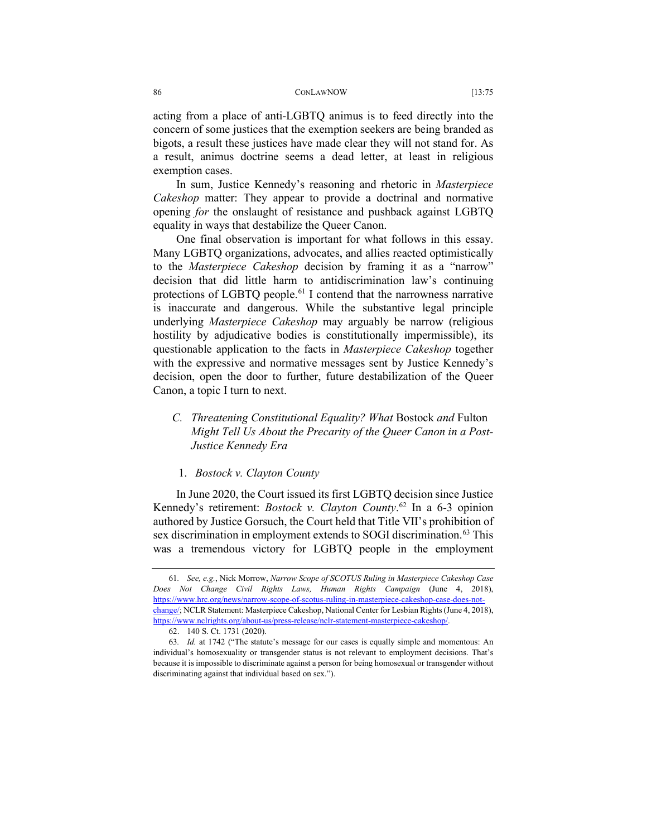#### 86 CONLAWNOW [13:75

acting from a place of anti-LGBTQ animus is to feed directly into the concern of some justices that the exemption seekers are being branded as bigots, a result these justices have made clear they will not stand for. As a result, animus doctrine seems a dead letter, at least in religious exemption cases.

In sum, Justice Kennedy's reasoning and rhetoric in *Masterpiece Cakeshop* matter: They appear to provide a doctrinal and normative opening *for* the onslaught of resistance and pushback against LGBTQ equality in ways that destabilize the Queer Canon.

One final observation is important for what follows in this essay. Many LGBTQ organizations, advocates, and allies reacted optimistically to the *Masterpiece Cakeshop* decision by framing it as a "narrow" decision that did little harm to antidiscrimination law's continuing protections of LGBTQ people.<sup>[61](#page-11-0)</sup> I contend that the narrowness narrative is inaccurate and dangerous. While the substantive legal principle underlying *Masterpiece Cakeshop* may arguably be narrow (religious hostility by adjudicative bodies is constitutionally impermissible), its questionable application to the facts in *Masterpiece Cakeshop* together with the expressive and normative messages sent by Justice Kennedy's decision, open the door to further, future destabilization of the Queer Canon, a topic I turn to next.

# *C. Threatening Constitutional Equality? What* Bostock *and* Fulton *Might Tell Us About the Precarity of the Queer Canon in a Post-Justice Kennedy Era*

## 1. *Bostock v. Clayton County*

In June 2020, the Court issued its first LGBTQ decision since Justice Kennedy's retirement: *Bostock v. Clayton County*. [62](#page-11-1) In a 6-3 opinion authored by Justice Gorsuch, the Court held that Title VII's prohibition of sex discrimination in employment extends to SOGI discrimination.<sup>[63](#page-11-2)</sup> This was a tremendous victory for LGBTQ people in the employment

<span id="page-11-0"></span><sup>61</sup>*. See, e.g.*, Nick Morrow, *Narrow Scope of SCOTUS Ruling in Masterpiece Cakeshop Case Does Not Change Civil Rights Laws, Human Rights Campaign* (June 4, 2018), [https://www.hrc.org/news/narrow-scope-of-scotus-ruling-in-masterpiece-cakeshop-case-does-not](https://www.hrc.org/news/narrow-scope-of-scotus-ruling-in-masterpiece-cakeshop-case-does-not-change/)[change/;](https://www.hrc.org/news/narrow-scope-of-scotus-ruling-in-masterpiece-cakeshop-case-does-not-change/) NCLR Statement: Masterpiece Cakeshop, National Center for Lesbian Rights (June 4, 2018), [https://www.nclrights.org/about-us/press-release/nclr-statement-masterpiece-cakeshop/.](https://www.nclrights.org/about-us/press-release/nclr-statement-masterpiece-cakeshop/) 

<sup>62.</sup> 140 S. Ct. 1731 (2020).

<span id="page-11-2"></span><span id="page-11-1"></span><sup>63</sup>*. Id.* at 1742 ("The statute's message for our cases is equally simple and momentous: An individual's homosexuality or transgender status is not relevant to employment decisions. That's because it is impossible to discriminate against a person for being homosexual or transgender without discriminating against that individual based on sex.").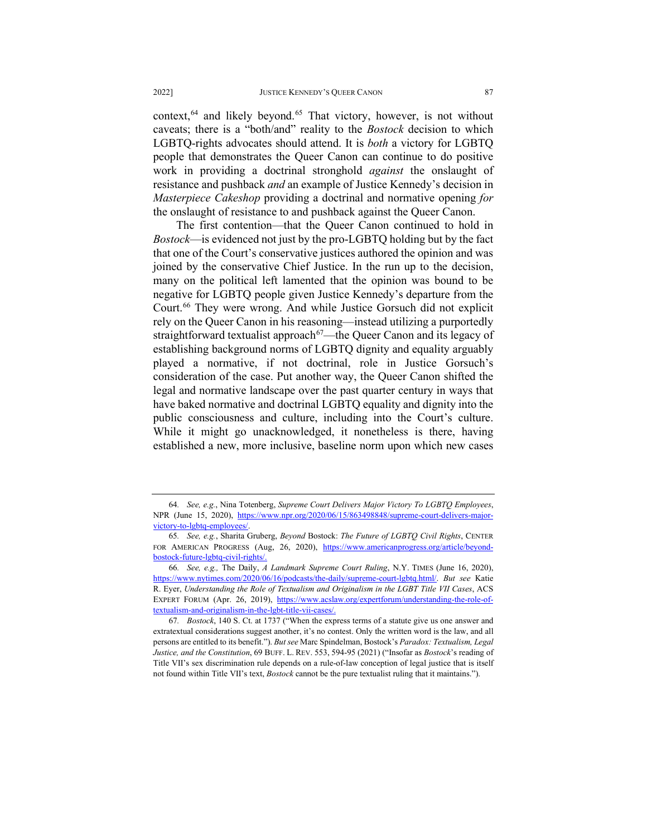context,<sup>[64](#page-12-0)</sup> and likely beyond.<sup>[65](#page-12-1)</sup> That victory, however, is not without caveats; there is a "both/and" reality to the *Bostock* decision to which LGBTQ-rights advocates should attend. It is *both* a victory for LGBTQ people that demonstrates the Queer Canon can continue to do positive work in providing a doctrinal stronghold *against* the onslaught of resistance and pushback *and* an example of Justice Kennedy's decision in *Masterpiece Cakeshop* providing a doctrinal and normative opening *for* the onslaught of resistance to and pushback against the Queer Canon.

The first contention—that the Queer Canon continued to hold in *Bostock*—is evidenced not just by the pro-LGBTQ holding but by the fact that one of the Court's conservative justices authored the opinion and was joined by the conservative Chief Justice. In the run up to the decision, many on the political left lamented that the opinion was bound to be negative for LGBTQ people given Justice Kennedy's departure from the Court.<sup>[66](#page-12-2)</sup> They were wrong. And while Justice Gorsuch did not explicit rely on the Queer Canon in his reasoning—instead utilizing a purportedly straightforward textualist approach<sup> $67$ </sup>—the Queer Canon and its legacy of establishing background norms of LGBTQ dignity and equality arguably played a normative, if not doctrinal, role in Justice Gorsuch's consideration of the case. Put another way, the Queer Canon shifted the legal and normative landscape over the past quarter century in ways that have baked normative and doctrinal LGBTQ equality and dignity into the public consciousness and culture, including into the Court's culture. While it might go unacknowledged, it nonetheless is there, having established a new, more inclusive, baseline norm upon which new cases

<span id="page-12-0"></span><sup>64</sup>*. See, e.g.*, Nina Totenberg, *Supreme Court Delivers Major Victory To LGBTQ Employees*, NPR (June 15, 2020), [https://www.npr.org/2020/06/15/863498848/supreme-court-delivers-major](https://www.npr.org/2020/06/15/863498848/supreme-court-delivers-major-victory-to-lgbtq-employees/)[victory-to-lgbtq-employees/.](https://www.npr.org/2020/06/15/863498848/supreme-court-delivers-major-victory-to-lgbtq-employees/) 

<span id="page-12-1"></span><sup>65</sup>*. See, e.g.*, Sharita Gruberg, *Beyond* Bostock: *The Future of LGBTQ Civil Rights*, CENTER FOR AMERICAN PROGRESS (Aug, 26, 2020), [https://www.americanprogress.org/article/beyond](https://www.americanprogress.org/article/beyond-bostock-future-lgbtq-civil-rights/)[bostock-future-lgbtq-civil-rights/.](https://www.americanprogress.org/article/beyond-bostock-future-lgbtq-civil-rights/)

<span id="page-12-2"></span><sup>66</sup>*. See, e.g.,* The Daily, *A Landmark Supreme Court Ruling*, N.Y. TIMES (June 16, 2020), [https://www.nytimes.com/2020/06/16/podcasts/the-daily/supreme-court-lgbtq.html/.](https://www.nytimes.com/2020/06/16/podcasts/the-daily/supreme-court-lgbtq.html/) *But see* Katie R. Eyer, *Understanding the Role of Textualism and Originalism in the LGBT Title VII Cases*, ACS EXPERT FORUM (Apr. 26, 2019), [https://www.acslaw.org/expertforum/understanding-the-role-of](https://www.acslaw.org/expertforum/understanding-the-role-of-textualism-and-originalism-in-the-lgbt-title-vii-cases/)[textualism-and-originalism-in-the-lgbt-title-vii-cases/.](https://www.acslaw.org/expertforum/understanding-the-role-of-textualism-and-originalism-in-the-lgbt-title-vii-cases/)

<span id="page-12-3"></span><sup>67</sup>*. Bostock*, 140 S. Ct. at 1737 ("When the express terms of a statute give us one answer and extratextual considerations suggest another, it's no contest. Only the written word is the law, and all persons are entitled to its benefit."). *But see* Marc Spindelman, Bostock's *Paradox: Textualism, Legal Justice, and the Constitution*, 69 BUFF. L. REV. 553, 594-95 (2021) ("Insofar as *Bostock*'s reading of Title VII's sex discrimination rule depends on a rule-of-law conception of legal justice that is itself not found within Title VII's text, *Bostock* cannot be the pure textualist ruling that it maintains.").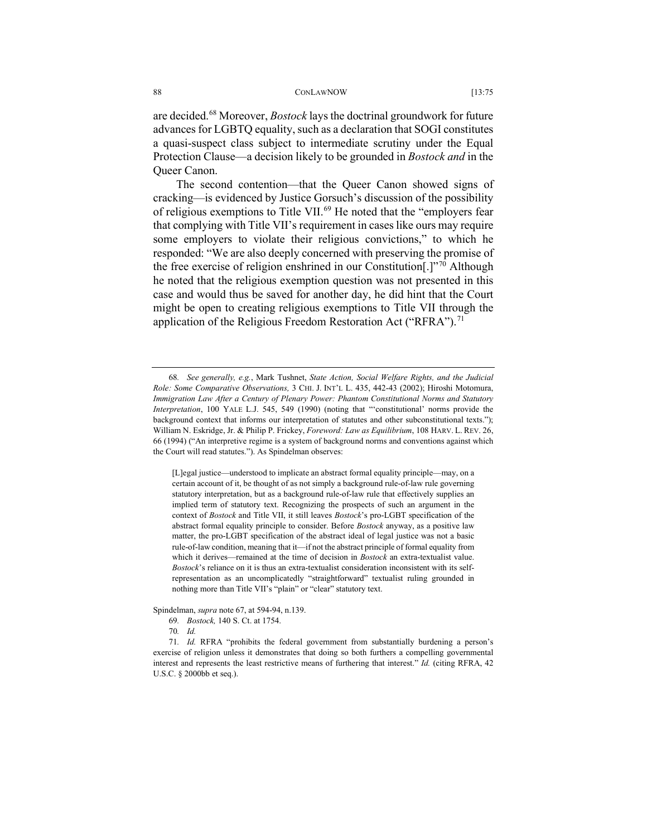### 88 CONLAWNOW [13:75]

are decided.[68](#page-13-0) Moreover, *Bostock* lays the doctrinal groundwork for future advances for LGBTQ equality, such as a declaration that SOGI constitutes a quasi-suspect class subject to intermediate scrutiny under the Equal Protection Clause—a decision likely to be grounded in *Bostock and* in the Queer Canon.

The second contention—that the Queer Canon showed signs of cracking—is evidenced by Justice Gorsuch's discussion of the possibility of religious exemptions to Title VII.<sup>[69](#page-13-1)</sup> He noted that the "employers fear that complying with Title VII's requirement in cases like ours may require some employers to violate their religious convictions," to which he responded: "We are also deeply concerned with preserving the promise of the free exercise of religion enshrined in our Constitution[.]"<sup>[70](#page-13-2)</sup> Although he noted that the religious exemption question was not presented in this case and would thus be saved for another day, he did hint that the Court might be open to creating religious exemptions to Title VII through the application of the Religious Freedom Restoration Act ("RFRA").<sup>[71](#page-13-3)</sup>

[L]egal justice—understood to implicate an abstract formal equality principle—may, on a certain account of it, be thought of as not simply a background rule-of-law rule governing statutory interpretation, but as a background rule-of-law rule that effectively supplies an implied term of statutory text. Recognizing the prospects of such an argument in the context of *Bostock* and Title VII, it still leaves *Bostock*'s pro-LGBT specification of the abstract formal equality principle to consider. Before *Bostock* anyway, as a positive law matter, the pro-LGBT specification of the abstract ideal of legal justice was not a basic rule-of-law condition, meaning that it—if not the abstract principle of formal equality from which it derives—remained at the time of decision in *Bostock* an extra-textualist value. *Bostock*'s reliance on it is thus an extra-textualist consideration inconsistent with its selfrepresentation as an uncomplicatedly "straightforward" textualist ruling grounded in nothing more than Title VII's "plain" or "clear" statutory text.

<span id="page-13-1"></span>Spindelman, *supra* note 67, at 594-94, n.139.

<span id="page-13-0"></span><sup>68</sup>*. See generally, e.g.*, Mark Tushnet, *State Action, Social Welfare Rights, and the Judicial Role: Some Comparative Observations,* 3 CHI. J. INT'L L. 435, 442-43 (2002); Hiroshi Motomura, *Immigration Law After a Century of Plenary Power: Phantom Constitutional Norms and Statutory Interpretation*, 100 YALE L.J. 545, 549 (1990) (noting that "'constitutional' norms provide the background context that informs our interpretation of statutes and other subconstitutional texts."); William N. Eskridge, Jr. & Philip P. Frickey, *Foreword: Law as Equilibrium*, 108 HARV. L. REV. 26, 66 (1994) ("An interpretive regime is a system of background norms and conventions against which the Court will read statutes."). As Spindelman observes:

<sup>69</sup>*. Bostock,* 140 S. Ct. at 1754.

<sup>70</sup>*. Id.*

<span id="page-13-3"></span><span id="page-13-2"></span><sup>71</sup>*. Id.* RFRA "prohibits the federal government from substantially burdening a person's exercise of religion unless it demonstrates that doing so both furthers a compelling governmental interest and represents the least restrictive means of furthering that interest." *Id.* (citing RFRA, 42 U.S.C. § 2000bb et seq.).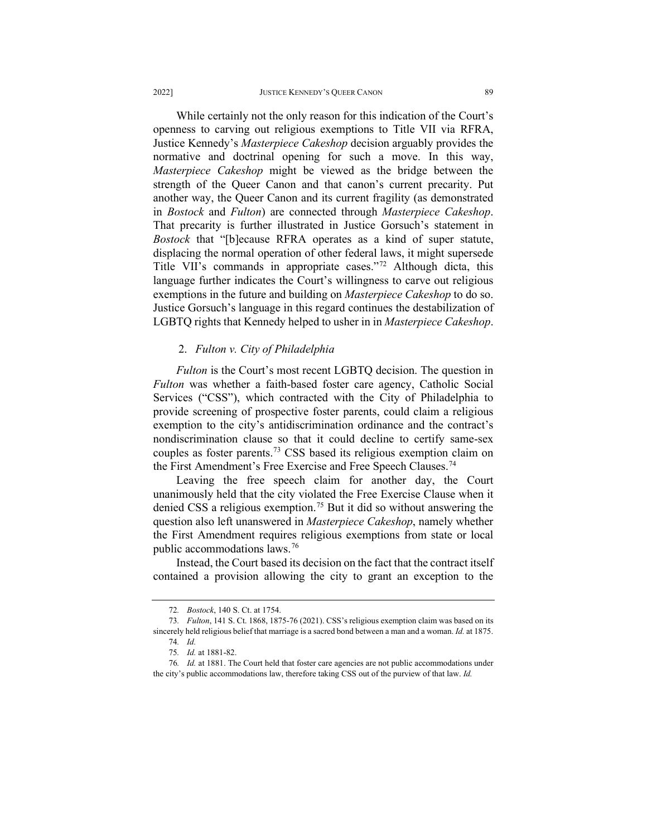While certainly not the only reason for this indication of the Court's openness to carving out religious exemptions to Title VII via RFRA, Justice Kennedy's *Masterpiece Cakeshop* decision arguably provides the normative and doctrinal opening for such a move. In this way, *Masterpiece Cakeshop* might be viewed as the bridge between the strength of the Queer Canon and that canon's current precarity. Put another way, the Queer Canon and its current fragility (as demonstrated in *Bostock* and *Fulton*) are connected through *Masterpiece Cakeshop*. That precarity is further illustrated in Justice Gorsuch's statement in *Bostock* that "[b]ecause RFRA operates as a kind of super statute, displacing the normal operation of other federal laws, it might supersede Title VII's commands in appropriate cases."[72](#page-14-0) Although dicta, this language further indicates the Court's willingness to carve out religious exemptions in the future and building on *Masterpiece Cakeshop* to do so. Justice Gorsuch's language in this regard continues the destabilization of LGBTQ rights that Kennedy helped to usher in in *Masterpiece Cakeshop*.

# 2. *Fulton v. City of Philadelphia*

*Fulton* is the Court's most recent LGBTQ decision. The question in *Fulton* was whether a faith-based foster care agency, Catholic Social Services ("CSS"), which contracted with the City of Philadelphia to provide screening of prospective foster parents, could claim a religious exemption to the city's antidiscrimination ordinance and the contract's nondiscrimination clause so that it could decline to certify same-sex couples as foster parents.<sup>[73](#page-14-1)</sup> CSS based its religious exemption claim on the First Amendment's Free Exercise and Free Speech Clauses.<sup>[74](#page-14-2)</sup>

Leaving the free speech claim for another day, the Court unanimously held that the city violated the Free Exercise Clause when it denied CSS a religious exemption.<sup>[75](#page-14-3)</sup> But it did so without answering the question also left unanswered in *Masterpiece Cakeshop*, namely whether the First Amendment requires religious exemptions from state or local public accommodations laws.[76](#page-14-4)

Instead, the Court based its decision on the fact that the contract itself contained a provision allowing the city to grant an exception to the

<sup>72</sup>*. Bostock*, 140 S. Ct. at 1754.

<span id="page-14-1"></span><span id="page-14-0"></span><sup>73</sup>*. Fulton*, 141 S. Ct. 1868, 1875-76 (2021). CSS's religious exemption claim was based on its sincerely held religious belief that marriage is a sacred bond between a man and a woman. *Id.* at 1875.

<sup>74</sup>*. Id.*

<sup>75</sup>*. Id.* at 1881-82.

<span id="page-14-4"></span><span id="page-14-3"></span><span id="page-14-2"></span><sup>76</sup>*. Id.* at 1881. The Court held that foster care agencies are not public accommodations under the city's public accommodations law, therefore taking CSS out of the purview of that law. *Id.*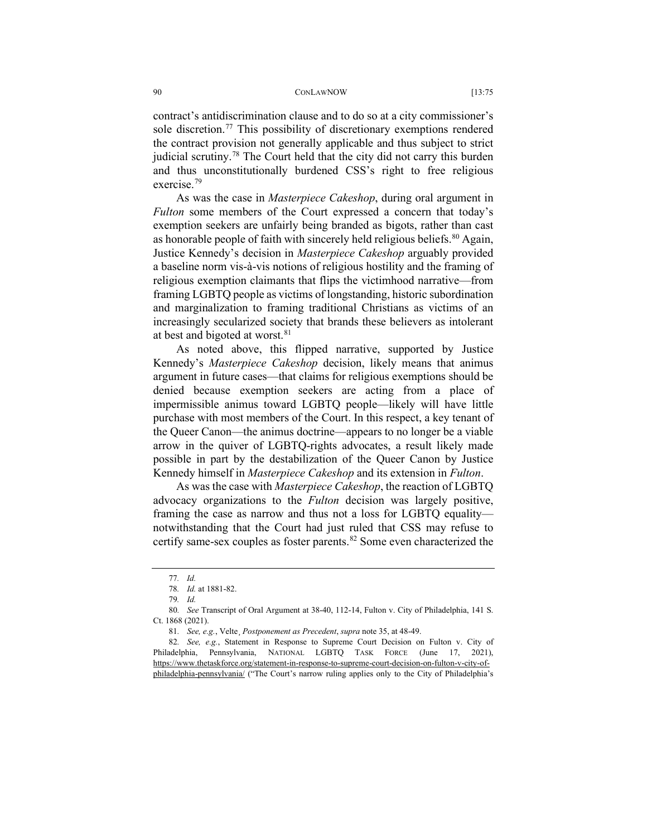### 90 CONLAWNOW [13:75

contract's antidiscrimination clause and to do so at a city commissioner's sole discretion.<sup>77</sup> This possibility of discretionary exemptions rendered the contract provision not generally applicable and thus subject to strict judicial scrutiny.<sup>[78](#page-15-1)</sup> The Court held that the city did not carry this burden and thus unconstitutionally burdened CSS's right to free religious exercise.[79](#page-15-2)

As was the case in *Masterpiece Cakeshop*, during oral argument in *Fulton* some members of the Court expressed a concern that today's exemption seekers are unfairly being branded as bigots, rather than cast as honorable people of faith with sincerely held religious beliefs.<sup>80</sup> Again, Justice Kennedy's decision in *Masterpiece Cakeshop* arguably provided a baseline norm vis-à-vis notions of religious hostility and the framing of religious exemption claimants that flips the victimhood narrative—from framing LGBTQ people as victims of longstanding, historic subordination and marginalization to framing traditional Christians as victims of an increasingly secularized society that brands these believers as intolerant at best and bigoted at worst.<sup>[81](#page-15-4)</sup>

As noted above, this flipped narrative, supported by Justice Kennedy's *Masterpiece Cakeshop* decision, likely means that animus argument in future cases—that claims for religious exemptions should be denied because exemption seekers are acting from a place of impermissible animus toward LGBTQ people—likely will have little purchase with most members of the Court. In this respect, a key tenant of the Queer Canon—the animus doctrine—appears to no longer be a viable arrow in the quiver of LGBTQ-rights advocates, a result likely made possible in part by the destabilization of the Queer Canon by Justice Kennedy himself in *Masterpiece Cakeshop* and its extension in *Fulton*.

As was the case with *Masterpiece Cakeshop*, the reaction of LGBTQ advocacy organizations to the *Fulton* decision was largely positive, framing the case as narrow and thus not a loss for LGBTQ equality notwithstanding that the Court had just ruled that CSS may refuse to certify same-sex couples as foster parents.<sup>[82](#page-15-5)</sup> Some even characterized the

<sup>77</sup>*. Id.*

<sup>78</sup>*. Id.* at 1881-82.

<sup>79</sup>*. Id.*

<span id="page-15-3"></span><span id="page-15-2"></span><span id="page-15-1"></span><span id="page-15-0"></span><sup>80</sup>*. See* Transcript of Oral Argument at 38-40, 112-14, Fulton v. City of Philadelphia, 141 S. Ct. 1868 (2021).

<sup>81</sup>*. See, e.g.*, Velte¸ *Postponement as Precedent*, *supra* note 35, at 48-49.

<span id="page-15-5"></span><span id="page-15-4"></span><sup>82</sup>*. See, e.g.*, Statement in Response to Supreme Court Decision on Fulton v. City of Philadelphia, Pennsylvania, NATIONAL LGBTQ TASK FORCE (June 17, 2021), [https://www.thetaskforce.org/statement-in-response-to-supreme-court-decision-on-fulton-v-city-of](https://www.thetaskforce.org/statement-in-response-to-supreme-court-decision-on-fulton-v-city-of-philadelphia-pennsylvania/)[philadelphia-pennsylvania/](https://www.thetaskforce.org/statement-in-response-to-supreme-court-decision-on-fulton-v-city-of-philadelphia-pennsylvania/) ("The Court's narrow ruling applies only to the City of Philadelphia's